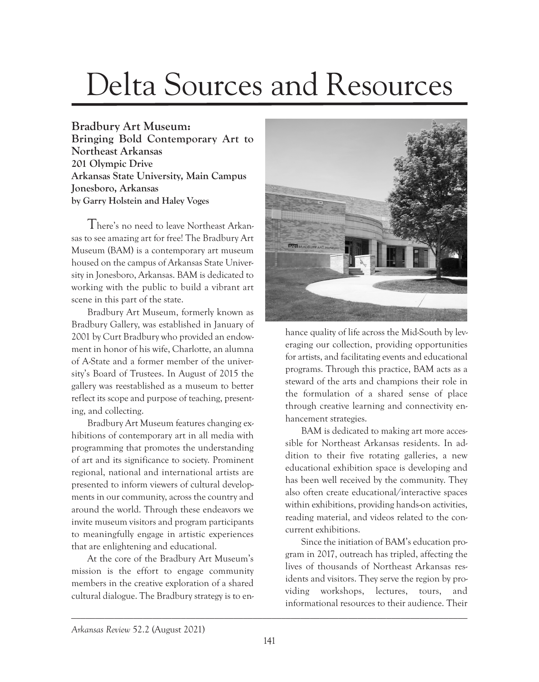## Delta Sources and Resources

**Bradbury Art Museum:** 

**Bringing Bold Contemporary Art to Northeast Arkansas 201 Olympic Drive Arkansas State University, Main Campus Jonesboro, Arkansas by Garry Holstein and Haley Voges**

There's no need to leave Northeast Arkansas to see amazing art for free! The Bradbury Art Museum (BAM) is a contemporary art museum housed on the campus of Arkansas State University in Jonesboro, Arkansas. BAM is dedicated to working with the public to build a vibrant art scene in this part of the state.

Bradbury Art Museum, formerly known as Bradbury Gallery, was established in January of 2001 by Curt Bradbury who provided an endowment in honor of his wife, Charlotte, an alumna of A-State and a former member of the university's Board of Trustees. In August of 2015 the gallery was reestablished as a museum to better reflect its scope and purpose of teaching, presenting, and collecting.

Bradbury Art Museum features changing exhibitions of contemporary art in all media with programming that promotes the understanding of art and its significance to society. Prominent regional, national and international artists are presented to inform viewers of cultural developments in our community, across the country and around the world. Through these endeavors we invite museum visitors and program participants to meaningfully engage in artistic experiences that are enlightening and educational.

At the core of the Bradbury Art Museum's mission is the effort to engage community members in the creative exploration of a shared cultural dialogue. The Bradbury strategy is to en-



hance quality of life across the Mid-South by leveraging our collection, providing opportunities for artists, and facilitating events and educational programs. Through this practice, BAM acts as a steward of the arts and champions their role in the formulation of a shared sense of place through creative learning and connectivity enhancement strategies.

BAM is dedicated to making art more accessible for Northeast Arkansas residents. In addition to their five rotating galleries, a new educational exhibition space is developing and has been well received by the community. They also often create educational/interactive spaces within exhibitions, providing hands-on activities, reading material, and videos related to the concurrent exhibitions.

Since the initiation of BAM's education program in 2017, outreach has tripled, affecting the lives of thousands of Northeast Arkansas residents and visitors. They serve the region by providing workshops, lectures, tours, and informational resources to their audience. Their

\_\_\_\_\_\_\_\_\_\_\_\_\_\_\_\_\_\_\_\_\_\_\_\_\_\_\_\_\_\_\_\_\_\_\_\_\_\_\_\_\_\_\_\_\_\_\_\_\_\_\_\_\_\_\_\_\_\_\_\_\_\_\_\_\_\_\_\_\_\_\_\_\_\_\_\_\_\_\_\_\_\_\_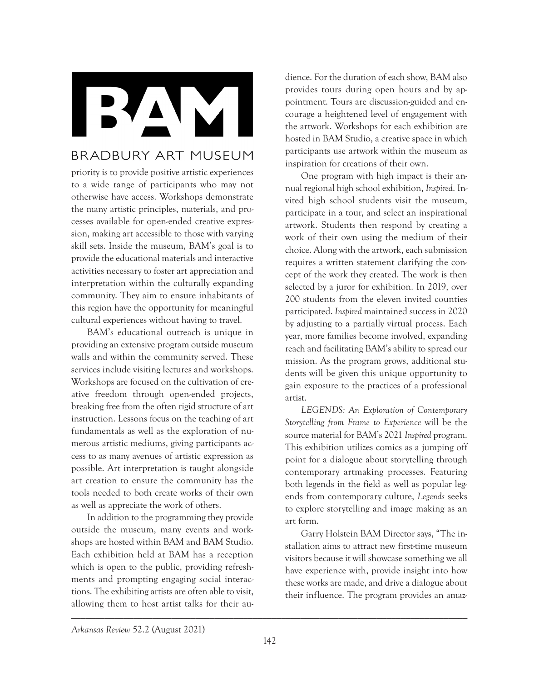RAM

## **BRADBURY ART MUSEUM**

priority is to provide positive artistic experiences to a wide range of participants who may not otherwise have access. Workshops demonstrate the many artistic principles, materials, and processes available for open-ended creative expression, making art accessible to those with varying skill sets. Inside the museum, BAM's goal is to provide the educational materials and interactive activities necessary to foster art appreciation and interpretation within the culturally expanding community. They aim to ensure inhabitants of this region have the opportunity for meaningful cultural experiences without having to travel.

BAM's educational outreach is unique in providing an extensive program outside museum walls and within the community served. These services include visiting lectures and workshops. Workshops are focused on the cultivation of creative freedom through open-ended projects, breaking free from the often rigid structure of art instruction. Lessons focus on the teaching of art fundamentals as well as the exploration of numerous artistic mediums, giving participants access to as many avenues of artistic expression as possible. Art interpretation is taught alongside art creation to ensure the community has the tools needed to both create works of their own as well as appreciate the work of others.

In addition to the programming they provide outside the museum, many events and workshops are hosted within BAM and BAM Studio. Each exhibition held at BAM has a reception which is open to the public, providing refreshments and prompting engaging social interactions. The exhibiting artists are often able to visit, allowing them to host artist talks for their audience. For the duration of each show, BAM also provides tours during open hours and by appointment. Tours are discussion-guided and encourage a heightened level of engagement with the artwork. Workshops for each exhibition are hosted in BAM Studio, a creative space in which participants use artwork within the museum as inspiration for creations of their own.

One program with high impact is their annual regional high school exhibition, *Inspired*. Invited high school students visit the museum, participate in a tour, and select an inspirational artwork. Students then respond by creating a work of their own using the medium of their choice. Along with the artwork, each submission requires a written statement clarifying the concept of the work they created. The work is then selected by a juror for exhibition. In 2019, over 200 students from the eleven invited counties participated. *Inspired* maintained success in 2020 by adjusting to a partially virtual process. Each year, more families become involved, expanding reach and facilitating BAM's ability to spread our mission. As the program grows, additional students will be given this unique opportunity to gain exposure to the practices of a professional artist.

*LEGENDS: An Exploration of Contemporary Storytelling from Frame to Experience* will be the source material for BAM's 2021 *Inspired* program. This exhibition utilizes comics as a jumping off point for a dialogue about storytelling through contemporary artmaking processes. Featuring both legends in the field as well as popular legends from contemporary culture, *Legends* seeks to explore storytelling and image making as an art form.

Garry Holstein BAM Director says, "The installation aims to attract new first-time museum visitors because it will showcase something we all have experience with, provide insight into how these works are made, and drive a dialogue about their influence. The program provides an amaz-

\_\_\_\_\_\_\_\_\_\_\_\_\_\_\_\_\_\_\_\_\_\_\_\_\_\_\_\_\_\_\_\_\_\_\_\_\_\_\_\_\_\_\_\_\_\_\_\_\_\_\_\_\_\_\_\_\_\_\_\_\_\_\_\_\_\_\_\_\_\_\_\_\_\_\_\_\_\_\_\_\_\_\_